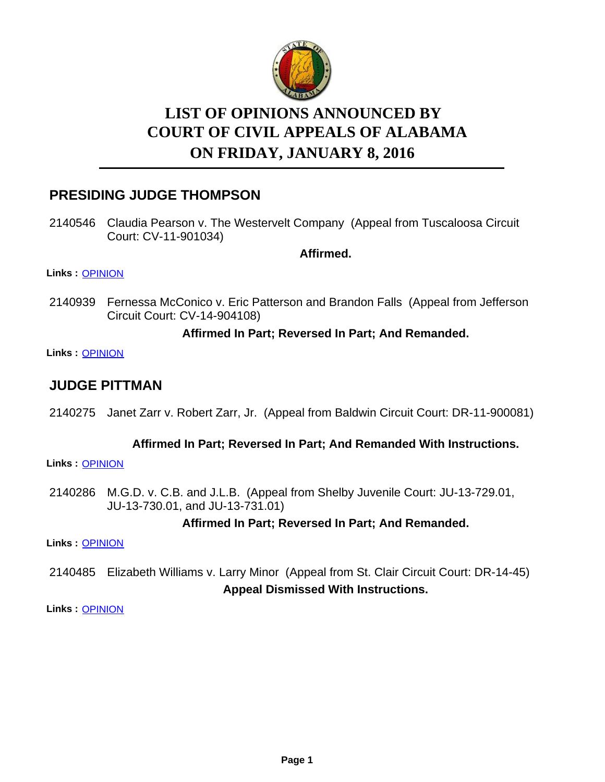

# **LIST OF OPINIONS ANNOUNCED BY ON FRIDAY, JANUARY 8, 2016 COURT OF CIVIL APPEALS OF ALABAMA**

# **PRESIDING JUDGE THOMPSON**

2140546 Claudia Pearson v. The Westervelt Company (Appeal from Tuscaloosa Circuit Court: CV-11-901034)

**Affirmed.**

#### **Links :** [OPINION](https://acis.alabama.gov/displaydocs.cfm?no=708970&event=4JC0MFX7M)

2140939 Fernessa McConico v. Eric Patterson and Brandon Falls (Appeal from Jefferson Circuit Court: CV-14-904108)

#### **Affirmed In Part; Reversed In Part; And Remanded.**

**Links :** [OPINION](https://acis.alabama.gov/displaydocs.cfm?no=708981&event=4JC0MFYRK)

# **JUDGE PITTMAN**

2140275 Janet Zarr v. Robert Zarr, Jr. (Appeal from Baldwin Circuit Court: DR-11-900081)

#### **Affirmed In Part; Reversed In Part; And Remanded With Instructions.**

**Links :** [OPINION](https://acis.alabama.gov/displaydocs.cfm?no=708966&event=4JC0MFVMV)

2140286 M.G.D. v. C.B. and J.L.B. (Appeal from Shelby Juvenile Court: JU-13-729.01, JU-13-730.01, and JU-13-731.01)

#### **Affirmed In Part; Reversed In Part; And Remanded.**

**Links :** [OPINION](https://acis.alabama.gov/displaydocs.cfm?no=708967&event=4JC0MFVSI)

2140485 Elizabeth Williams v. Larry Minor (Appeal from St. Clair Circuit Court: DR-14-45) **Appeal Dismissed With Instructions.**

**Links :** [OPINION](https://acis.alabama.gov/displaydocs.cfm?no=708968&event=4JC0MFVXP)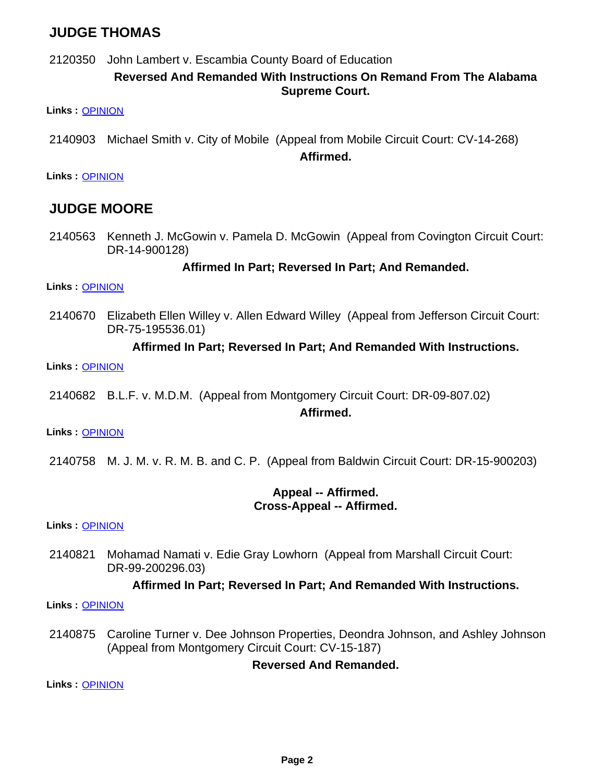# **JUDGE THOMAS**

2120350 John Lambert v. Escambia County Board of Education

#### **Reversed And Remanded With Instructions On Remand From The Alabama Supreme Court.**

**Links :** [OPINION](https://acis.alabama.gov/displaydocs.cfm?no=708965&event=4JC0MFVBM)

2140903 Michael Smith v. City of Mobile (Appeal from Mobile Circuit Court: CV-14-268)

**Affirmed.**

**Links :** [OPINION](https://acis.alabama.gov/displaydocs.cfm?no=708980&event=4JC0MFYMS)

### **JUDGE MOORE**

2140563 Kenneth J. McGowin v. Pamela D. McGowin (Appeal from Covington Circuit Court: DR-14-900128)

#### **Affirmed In Part; Reversed In Part; And Remanded.**

**Links :** [OPINION](https://acis.alabama.gov/displaydocs.cfm?no=708971&event=4JC0MFXCU)

Elizabeth Ellen Willey v. Allen Edward Willey (Appeal from Jefferson Circuit Court: DR-75-195536.01) 2140670

#### **Affirmed In Part; Reversed In Part; And Remanded With Instructions.**

**Links :** [OPINION](https://acis.alabama.gov/displaydocs.cfm?no=708973&event=4JC0MFXN8)

2140682 B.L.F. v. M.D.M. (Appeal from Montgomery Circuit Court: DR-09-807.02)

#### **Affirmed.**

**Links :** [OPINION](https://acis.alabama.gov/displaydocs.cfm?no=708974&event=4JC0MFXS0)

2140758 M. J. M. v. R. M. B. and C. P. (Appeal from Baldwin Circuit Court: DR-15-900203)

#### **Appeal -- Affirmed. Cross-Appeal -- Affirmed.**

**Links :** [OPINION](https://acis.alabama.gov/displaydocs.cfm?no=708975&event=4JC0MFXX6)

Mohamad Namati v. Edie Gray Lowhorn (Appeal from Marshall Circuit Court: DR-99-200296.03) 2140821

#### **Affirmed In Part; Reversed In Part; And Remanded With Instructions.**

**Links :** [OPINION](https://acis.alabama.gov/displaydocs.cfm?no=708977&event=4JC0MFY7L)

2140875 Caroline Turner v. Dee Johnson Properties, Deondra Johnson, and Ashley Johnson (Appeal from Montgomery Circuit Court: CV-15-187)

#### **Reversed And Remanded.**

**Links :** [OPINION](https://acis.alabama.gov/displaydocs.cfm?no=708978&event=4JC0MFYCD)